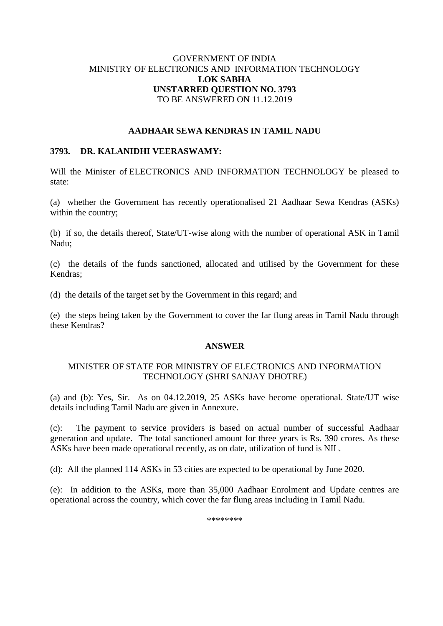## GOVERNMENT OF INDIA MINISTRY OF ELECTRONICS AND INFORMATION TECHNOLOGY **LOK SABHA UNSTARRED QUESTION NO. 3793** TO BE ANSWERED ON 11.12.2019

## **AADHAAR SEWA KENDRAS IN TAMIL NADU**

## **3793. DR. KALANIDHI VEERASWAMY:**

Will the Minister of ELECTRONICS AND INFORMATION TECHNOLOGY be pleased to state:

(a) whether the Government has recently operationalised 21 Aadhaar Sewa Kendras (ASKs) within the country;

(b) if so, the details thereof, State/UT-wise along with the number of operational ASK in Tamil Nadu;

(c) the details of the funds sanctioned, allocated and utilised by the Government for these Kendras;

(d) the details of the target set by the Government in this regard; and

(e) the steps being taken by the Government to cover the far flung areas in Tamil Nadu through these Kendras?

#### **ANSWER**

## MINISTER OF STATE FOR MINISTRY OF ELECTRONICS AND INFORMATION TECHNOLOGY (SHRI SANJAY DHOTRE)

(a) and (b): Yes, Sir. As on 04.12.2019, 25 ASKs have become operational. State/UT wise details including Tamil Nadu are given in Annexure.

(c): The payment to service providers is based on actual number of successful Aadhaar generation and update. The total sanctioned amount for three years is Rs. 390 crores. As these ASKs have been made operational recently, as on date, utilization of fund is NIL.

(d): All the planned 114 ASKs in 53 cities are expected to be operational by June 2020.

(e): In addition to the ASKs, more than 35,000 Aadhaar Enrolment and Update centres are operational across the country, which cover the far flung areas including in Tamil Nadu.

\*\*\*\*\*\*\*\*\*\*\*